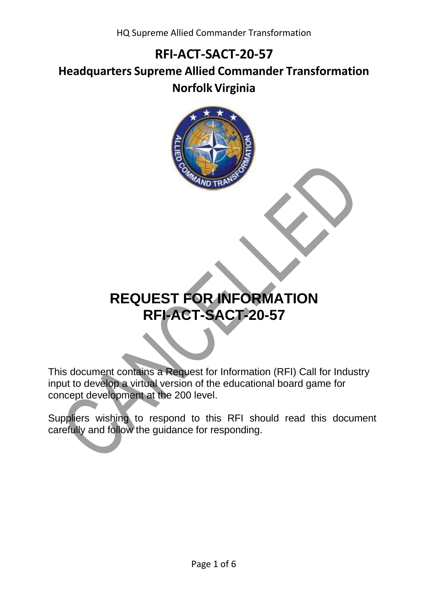**Headquarters Supreme Allied Commander Transformation Norfolk Virginia**



# **REQUEST FOR INFORMATION RFI-ACT-SACT-20-57**

This document contains a Request for Information (RFI) Call for Industry input to develop a virtual version of the educational board game for concept development at the 200 level.

Suppliers wishing to respond to this RFI should read this document carefully and follow the guidance for responding.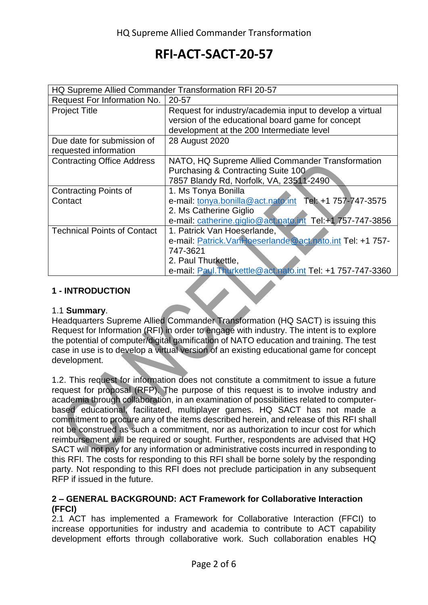| HQ Supreme Allied Commander Transformation RFI 20-57 |                                                            |
|------------------------------------------------------|------------------------------------------------------------|
| Request For Information No.                          | 20-57                                                      |
| <b>Project Title</b>                                 | Request for industry/academia input to develop a virtual   |
|                                                      | version of the educational board game for concept          |
|                                                      | development at the 200 Intermediate level                  |
| Due date for submission of                           | 28 August 2020                                             |
| requested information                                |                                                            |
| <b>Contracting Office Address</b>                    | NATO, HQ Supreme Allied Commander Transformation           |
|                                                      | Purchasing & Contracting Suite 100                         |
|                                                      | 7857 Blandy Rd, Norfolk, VA, 23511-2490                    |
| <b>Contracting Points of</b>                         | 1. Ms Tonya Bonilla                                        |
| Contact                                              | e-mail: tonya.bonilla@act.nato.int Tel: +1 757-747-3575    |
|                                                      | 2. Ms Catherine Giglio                                     |
|                                                      | e-mail: catherine.giglio@act.nato.int Tel:+1 757-747-3856  |
| <b>Technical Points of Contact</b>                   | 1. Patrick Van Hoeserlande,                                |
|                                                      | e-mail: Patrick.VanHoeserlande@act.nato.int Tel: +1 757-   |
|                                                      | 747-3621                                                   |
|                                                      | 2. Paul Thurkettle,                                        |
|                                                      | e-mail: Paul. Thurkettle@act.nato.int Tel: +1 757-747-3360 |

#### **1 - INTRODUCTION**

#### 1.1 **Summary**.

Headquarters Supreme Allied Commander Transformation (HQ SACT) is issuing this Request for Information (RFI) in order to engage with industry. The intent is to explore the potential of computer/digital gamification of NATO education and training. The test case in use is to develop a virtual version of an existing educational game for concept development.

1.2. This request for information does not constitute a commitment to issue a future request for proposal (RFP). The purpose of this request is to involve industry and academia through collaboration, in an examination of possibilities related to computerbased educational, facilitated, multiplayer games. HQ SACT has not made a commitment to procure any of the items described herein, and release of this RFI shall not be construed as such a commitment, nor as authorization to incur cost for which reimbursement will be required or sought. Further, respondents are advised that HQ SACT will not pay for any information or administrative costs incurred in responding to this RFI. The costs for responding to this RFI shall be borne solely by the responding party. Not responding to this RFI does not preclude participation in any subsequent RFP if issued in the future.

#### **2 – GENERAL BACKGROUND: ACT Framework for Collaborative Interaction (FFCI)**

2.1 ACT has implemented a Framework for Collaborative Interaction (FFCI) to increase opportunities for industry and academia to contribute to ACT capability development efforts through collaborative work. Such collaboration enables HQ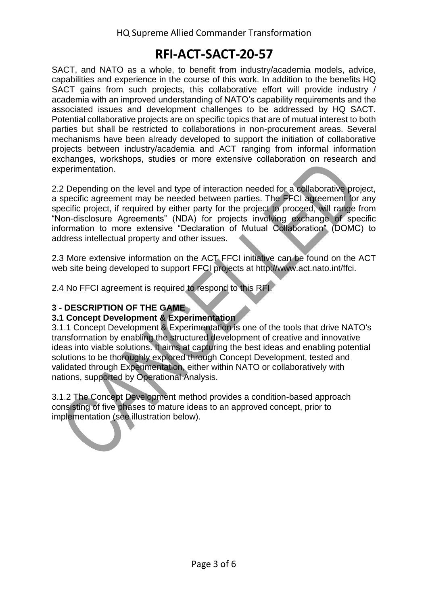SACT, and NATO as a whole, to benefit from industry/academia models, advice, capabilities and experience in the course of this work. In addition to the benefits HQ SACT gains from such projects, this collaborative effort will provide industry / academia with an improved understanding of NATO's capability requirements and the associated issues and development challenges to be addressed by HQ SACT. Potential collaborative projects are on specific topics that are of mutual interest to both parties but shall be restricted to collaborations in non-procurement areas. Several mechanisms have been already developed to support the initiation of collaborative projects between industry/academia and ACT ranging from informal information exchanges, workshops, studies or more extensive collaboration on research and experimentation.

2.2 Depending on the level and type of interaction needed for a collaborative project, a specific agreement may be needed between parties. The FFCI agreement for any specific project, if required by either party for the project to proceed, will range from "Non-disclosure Agreements" (NDA) for projects involving exchange of specific information to more extensive "Declaration of Mutual Collaboration" (DOMC) to address intellectual property and other issues.

2.3 More extensive information on the ACT FFCI initiative can be found on the ACT web site being developed to support FFCI projects at http://www.act.nato.int/ffci.

2.4 No FFCI agreement is required to respond to this RFI.

#### **3 - DESCRIPTION OF THE GAME**

#### **3.1 Concept Development & Experimentation**

3.1.1 Concept Development & Experimentation is one of the tools that drive NATO's transformation by enabling the structured development of creative and innovative ideas into viable solutions. It aims at capturing the best ideas and enabling potential solutions to be thoroughly explored through Concept Development, tested and validated through Experimentation, either within NATO or collaboratively with nations, supported by Operational Analysis.

3.1.2 The Concept Development method provides a condition-based approach consisting of five phases to mature ideas to an approved concept, prior to implementation (see illustration below).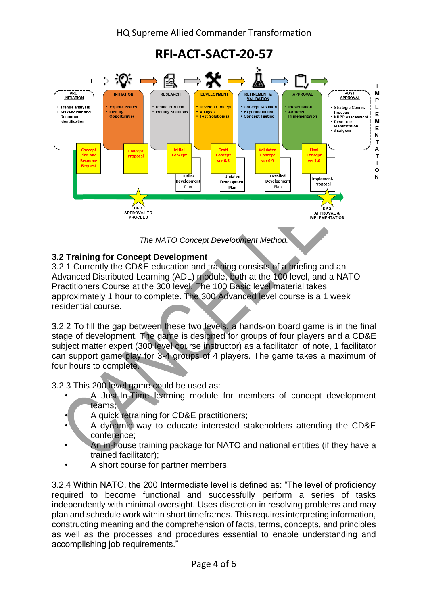

*The NATO Concept Development Method.*

#### **3.2 Training for Concept Development**

3.2.1 Currently the CD&E education and training consists of a briefing and an Advanced Distributed Learning (ADL) module, both at the 100 level, and a NATO Practitioners Course at the 300 level. The 100 Basic level material takes approximately 1 hour to complete. The 300 Advanced level course is a 1 week residential course.

3.2.2 To fill the gap between these two levels, a hands-on board game is in the final stage of development. The game is designed for groups of four players and a CD&E subject matter expert (300 level course instructor) as a facilitator; of note, 1 facilitator can support game play for 3-4 groups of 4 players. The game takes a maximum of four hours to complete.

3.2.3 This 200 level game could be used as:

- A Just-In-Time learning module for members of concept development teams;
- A quick retraining for CD&E practitioners;
- A dynamic way to educate interested stakeholders attending the CD&E conference;
- An in-house training package for NATO and national entities (if they have a trained facilitator);
- A short course for partner members.

3.2.4 Within NATO, the 200 Intermediate level is defined as: "The level of proficiency required to become functional and successfully perform a series of tasks independently with minimal oversight. Uses discretion in resolving problems and may plan and schedule work within short timeframes. This requires interpreting information, constructing meaning and the comprehension of facts, terms, concepts, and principles as well as the processes and procedures essential to enable understanding and accomplishing job requirements."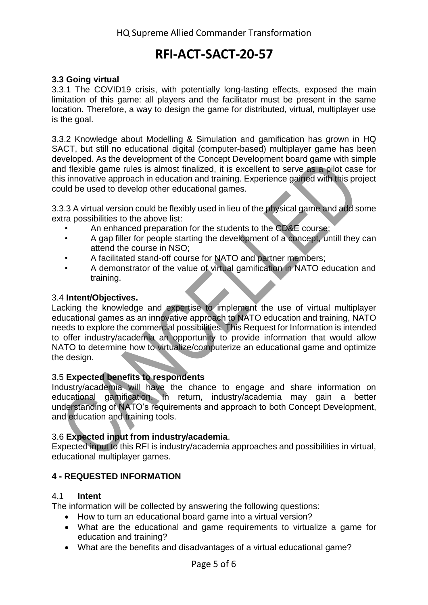#### **3.3 Going virtual**

3.3.1 The COVID19 crisis, with potentially long-lasting effects, exposed the main limitation of this game: all players and the facilitator must be present in the same location. Therefore, a way to design the game for distributed, virtual, multiplayer use is the goal.

3.3.2 Knowledge about Modelling & Simulation and gamification has grown in HQ SACT, but still no educational digital (computer-based) multiplayer game has been developed. As the development of the Concept Development board game with simple and flexible game rules is almost finalized, it is excellent to serve as a pilot case for this innovative approach in education and training. Experience gained with this project could be used to develop other educational games.

3.3.3 A virtual version could be flexibly used in lieu of the physical game and add some extra possibilities to the above list:

- An enhanced preparation for the students to the CD&E course;
- A gap filler for people starting the development of a concept, untill they can attend the course in NSO;
- A facilitated stand-off course for NATO and partner members;
- A demonstrator of the value of virtual gamification in NATO education and training.

#### 3.4 **Intent/Objectives.**

Lacking the knowledge and expertise to implement the use of virtual multiplayer educational games as an innovative approach to NATO education and training, NATO needs to explore the commercial possibilities. This Request for Information is intended to offer industry/academia an opportunity to provide information that would allow NATO to determine how to virtualize/computerize an educational game and optimize the design.

#### 3.5 **Expected benefits to respondents**

Industry/academia will have the chance to engage and share information on educational gamification. In return, industry/academia may gain a better understanding of NATO's requirements and approach to both Concept Development, and education and training tools.

#### 3.6 **Expected input from industry/academia**.

Expected input to this RFI is industry/academia approaches and possibilities in virtual, educational multiplayer games.

#### **4 - REQUESTED INFORMATION**

#### 4.1 **Intent**

The information will be collected by answering the following questions:

- How to turn an educational board game into a virtual version?
- What are the educational and game requirements to virtualize a game for education and training?
- What are the benefits and disadvantages of a virtual educational game?